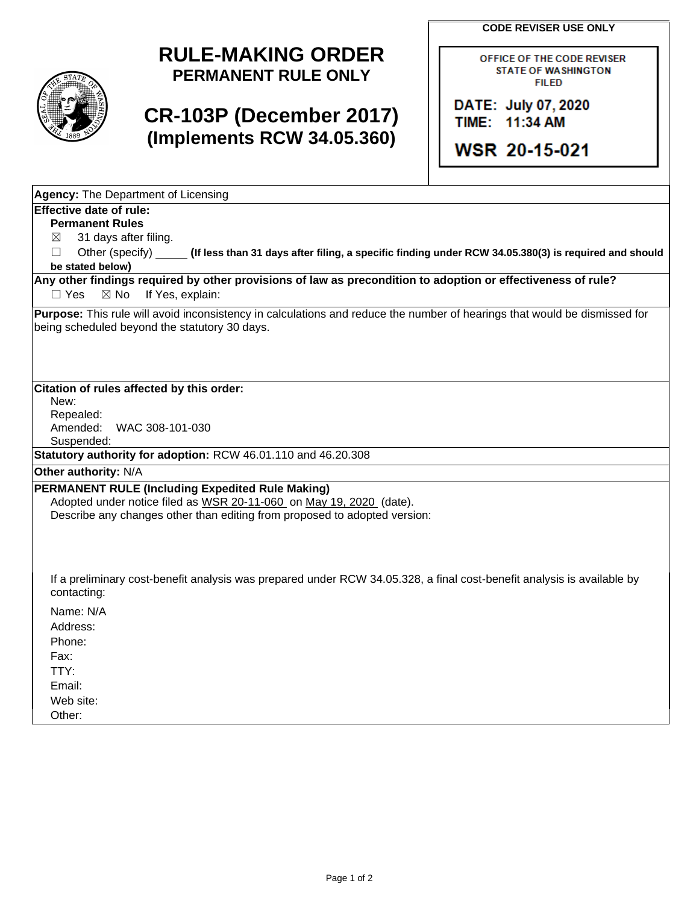**CODE REVISER USE ONLY**



## **RULE-MAKING ORDER PERMANENT RULE ONLY**

## **CR-103P (December 2017) (Implements RCW 34.05.360)**

OFFICE OF THE CODE REVISER **STATE OF WASHINGTON FILED** 

DATE: July 07, 2020 TIME: 11:34 AM

**WSR 20-15-021** 

**Agency:** The Department of Licensing

## **Effective date of rule:**

**Permanent Rules**

 $\boxtimes$  31 days after filing.

☐ Other (specify) **(If less than 31 days after filing, a specific finding under RCW 34.05.380(3) is required and should be stated below)**

**Any other findings required by other provisions of law as precondition to adoption or effectiveness of rule?** □ Yes ⊠ No If Yes, explain:

**Purpose:** This rule will avoid inconsistency in calculations and reduce the number of hearings that would be dismissed for being scheduled beyond the statutory 30 days.

**Citation of rules affected by this order:**

New:

Repealed: Amended: WAC 308-101-030

Suspended:

**Statutory authority for adoption:** RCW 46.01.110 and 46.20.308

**Other authority:** N/A

## **PERMANENT RULE (Including Expedited Rule Making)**

Adopted under notice filed as WSR 20-11-060 on May 19, 2020 (date). Describe any changes other than editing from proposed to adopted version:

If a preliminary cost-benefit analysis was prepared under RCW 34.05.328, a final cost-benefit analysis is available by contacting:

Name: N/A Address: Phone: Fax: TTY: Email:

Web site:

Other: